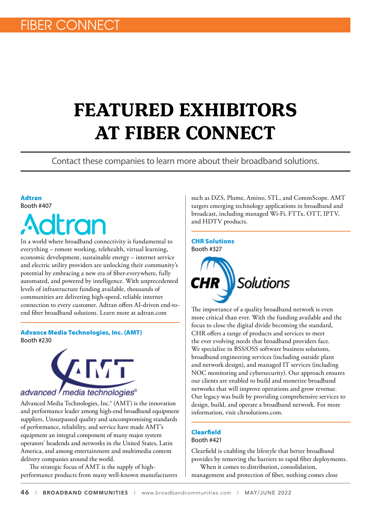# **FEATURED EXHIBITORS AT FIBER CONNECT**

Contact these companies to learn more about their broadband solutions.

## Adtran Booth #407



In a world where broadband connectivity is fundamental to everything – remote working, telehealth, virtual learning, economic development, sustainable energy – internet service and electric utility providers are unlocking their community's potential by embracing a new era of fiber-everywhere, fully automated, and powered by intelligence. With unprecedented levels of infrastructure funding available, thousands of communities are delivering high-speed, reliable internet connection to every customer. Adtran offers AI-driven end-toend fiber broadband solutions. Learn more at adtran.com

## Advance Media Technologies, Inc. (AMT) Booth #230



Advanced Media Technologies, Inc.® (AMT) is the innovation and performance leader among high-end broadband equipment suppliers. Unsurpassed quality and uncompromising standards of performance, reliability, and service have made AMT's equipment an integral component of many major system operators' headends and networks in the United States, Latin America, and among entertainment and multimedia content delivery companies around the world.

The strategic focus of AMT is the supply of highperformance products from many well-known manufacturers such as DZS, Plume, Amino, STL, and CommScope. AMT targets emerging technology applications in broadband and broadcast, including managed Wi-Fi, FTTx, OTT, IPTV, and HDTV products.

## CHR Solutions Booth #327



The importance of a quality broadband network is even more critical than ever. With the funding available and the focus to close the digital divide becoming the standard, CHR offers a range of products and services to meet the ever evolving needs that broadband providers face. We specialize in BSS/OSS software business solutions, broadband engineering services (including outside plant and network design), and managed IT services (including NOC monitoring and cybersecurity). Our approach ensures our clients are enabled to build and monetize broadband networks that will improve operations and grow revenue. Our legacy was built by providing comprehensive services to design, build, and operate a broadband network. For more information, visit chrsolutions.com.

## Clearfield Booth #421

Clearfield is cnabling the lifestyle that better broadband provides by removing the barriers to rapid fiber deployments.

When it comes to distribution, consolidation, management and protection of fiber, nothing comes close